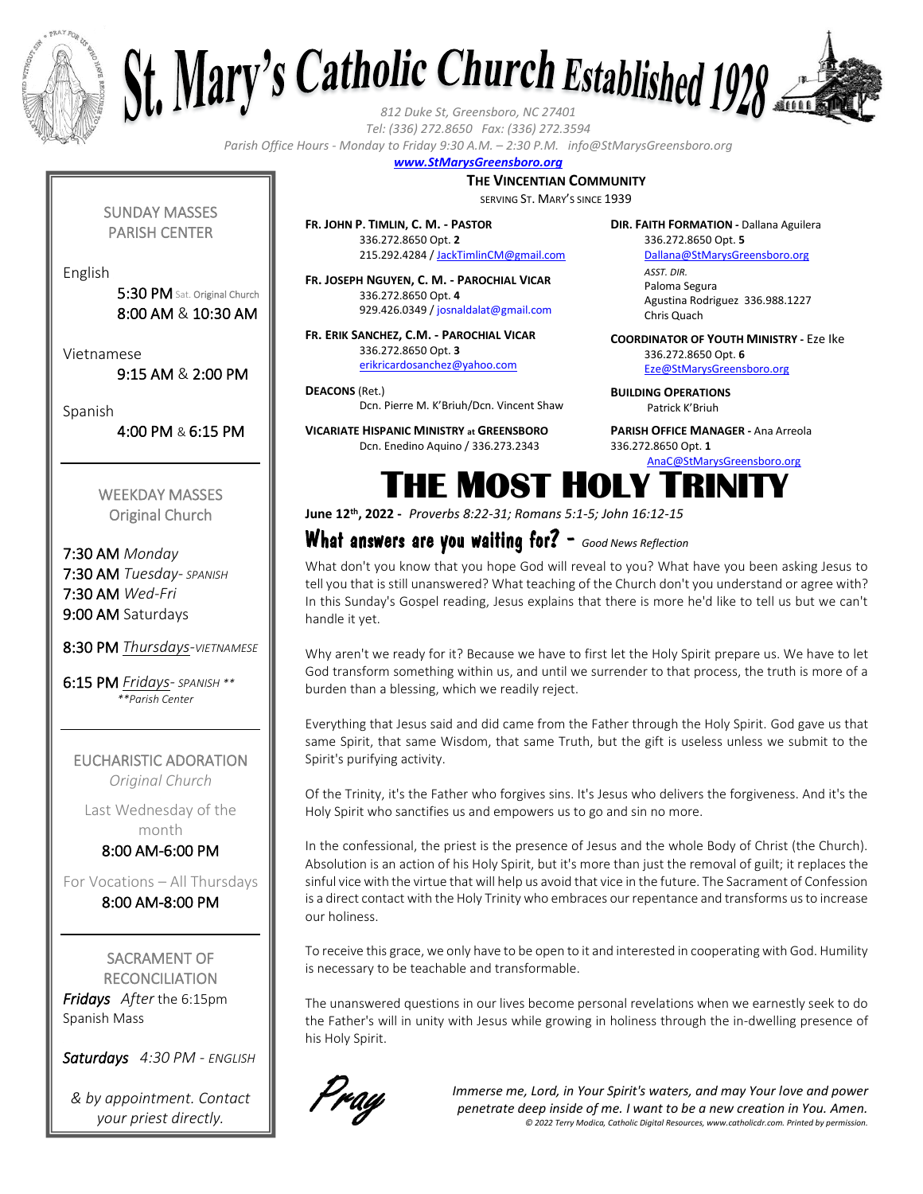



*Tel: (336) 272.8650 Fax: (336) 272.3594*

*Parish Office Hours - Monday to Friday 9:30 A.M. – 2:30 P.M. info@StMarysGreensboro.org*

### *www.StMarysGreensboro.org*

### **THE VINCENTIAN COMMUNITY**

SERVING ST. MARY'S SINCE 1939

SUNDAY MASSES PARISH CENTER

English

5:30 PM Sat. Original Church 8:00 AM & 10:30 AM

Vietnamese

9:15 AM & 2:00 PM

Spanish

4:00 PM & 6:15 PM

WEEKDAY MASSES Original Church

7:30 AM *Monday* 7:30 AM *Tuesday- SPANISH* 7:30 AM *Wed-Fri* 9:00 AM Saturdays

8:30 PM *Thursdays-VIETNAMESE*

6:15 PM *Fridays- SPANISH \*\* \*\*Parish Center*

EUCHARISTIC ADORATION *Original Church*

Last Wednesday of the month 8:00 AM-6:00 PM

For Vocations – All Thursdays 8:00 AM-8:00 PM

SACRAMENT OF

**RECONCILIATION** *Fridays After* the 6:15pm Spanish Mass

*Saturdays 4:30 PM - ENGLISH*

*& by appointment. Contact your priest directly.*

**FR. JOHN P. TIMLIN, C. M. - PASTOR** 336.272.8650 Opt. **2** 215.292.4284 / JackTimlinCM@gmail.com

**FR. JOSEPH NGUYEN, C. M. - PAROCHIAL VICAR** 336.272.8650 Opt. **4** 929.426.0349 / josnaldalat@gmail.com

**FR. ERIK SANCHEZ, C.M. - PAROCHIAL VICAR** 336.272.8650 Opt. **3** erikricardosanchez@yahoo.com

**DEACONS** (Ret.) Dcn. Pierre M. K'Briuh/Dcn. Vincent Shaw

**VICARIATE HISPANIC MINISTRY at GREENSBORO** Dcn. Enedino Aquino / 336.273.2343

**DIR. FAITH FORMATION -** Dallana Aguilera 336.272.8650 Opt. **5**

Dallana@StMarysGreensboro.org *ASST. DIR.* Paloma Segura Agustina Rodriguez 336.988.1227 Chris Quach

**COORDINATOR OF YOUTH MINISTRY -** Eze Ike 336.272.8650 Opt. **6** Eze@StMarysGreensboro.org

**BUILDING OPERATIONS**  Patrick K'Briuh

**PARISH OFFICE MANAGER -** Ana Arreola 336.272.8650 Opt. **1**

# THE MOST HOLY TRI AnaC@StMarysGreensboro.org

**June 12th, 2022 -** *Proverbs 8:22-31; Romans 5:1-5; John 16:12-15*

# What answers are you waiting for? - *Good News Reflection*

What don't you know that you hope God will reveal to you? What have you been asking Jesus to tell you that is still unanswered? What teaching of the Church don't you understand or agree with? In this Sunday's Gospel reading, Jesus explains that there is more he'd like to tell us but we can't handle it yet.

Why aren't we ready for it? Because we have to first let the Holy Spirit prepare us. We have to let God transform something within us, and until we surrender to that process, the truth is more of a burden than a blessing, which we readily reject.

Everything that Jesus said and did came from the Father through the Holy Spirit. God gave us that same Spirit, that same Wisdom, that same Truth, but the gift is useless unless we submit to the Spirit's purifying activity.

Of the Trinity, it's the Father who forgives sins. It's Jesus who delivers the forgiveness. And it's the Holy Spirit who sanctifies us and empowers us to go and sin no more.

In the confessional, the priest is the presence of Jesus and the whole Body of Christ (the Church). Absolution is an action of his Holy Spirit, but it's more than just the removal of guilt; it replaces the sinful vice with the virtue that will help us avoid that vice in the future. The Sacrament of Confession is a direct contact with the Holy Trinity who embraces our repentance and transforms us to increase our holiness.

To receive this grace, we only have to be open to it and interested in cooperating with God. Humility is necessary to be teachable and transformable.

The unanswered questions in our lives become personal revelations when we earnestly seek to do the Father's will in unity with Jesus while growing in holiness through the in-dwelling presence of his Holy Spirit.



*Immerse me, Lord, in Your Spirit's waters, and may Your love and power penetrate deep inside of me. I want to be a new creation in You. Amen. © 2022 Terry Modica, Catholic Digital Resources, www.catholicdr.com. Printed by permission.*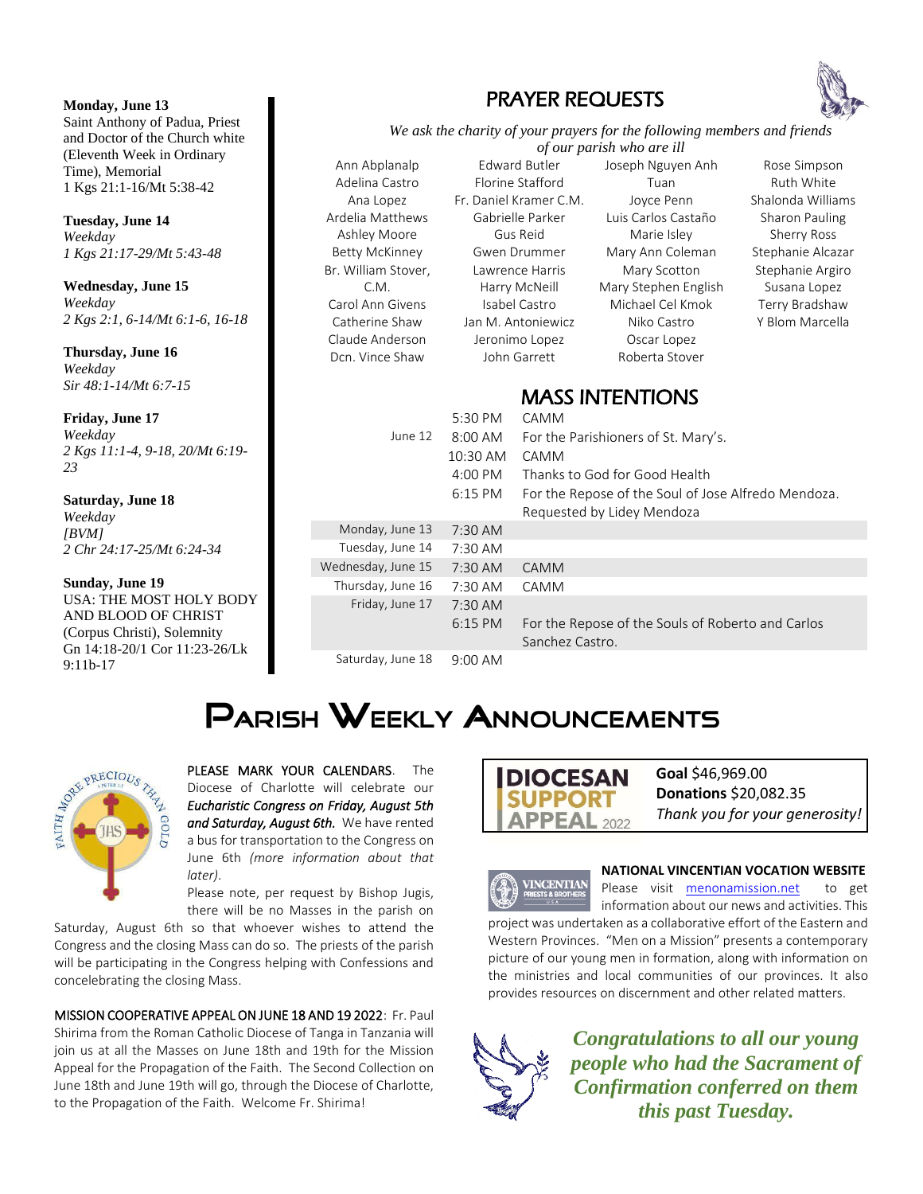**Monday, June 13** Saint Anthony of Padua, Priest and Doctor of the Church white (Eleventh Week in Ordinary Time), Memorial 1 Kgs 21:1-16/Mt 5:38-42

**Tuesday, June 14** *Weekday 1 Kgs 21:17-29/Mt 5:43-48*

**Wednesday, June 15** *Weekday 2 Kgs 2:1, 6-14/Mt 6:1-6, 16-18*

**Thursday, June 16** *Weekday Sir 48:1-14/Mt 6:7-15*

**Friday, June 17** *Weekday* 2 Kgs 11:1-4, 9-18, 20/Mt 6 *23*

**Saturday, June 18** *Weekday [BVM] 2 Chr 24:17-25/Mt 6:24-34*

**Sunday, June 19** USA: THE MOST HOLY B AND BLOOD OF CHRIST (Corpus Christi), Solemnity Gn 14:18-20/1 Cor 11:23-2 9:11b-17

# PRAYER REQUESTS



*We ask the charity of your prayers for the following members and friends of our parish who are ill*

Ann Abplanalp Adelina Castro Ana Lopez Ardelia Matthews Ashley Moore Betty McKinney Br. William Stover, C.M. Carol Ann Givens Catherine Shaw Claude Anderson Dcn. Vince Shaw

Edward Butler Florine Stafford Fr. Daniel Kramer C.M. Gabrielle Parker Gus Reid Gwen Drummer Lawrence Harris Harry McNeill Isabel Castro Jan M. Antoniewicz Jeronimo Lopez John Garrett

Joseph Nguyen Anh Tuan Joyce Penn Luis Carlos Castaño Marie Isley Mary Ann Coleman Mary Scotton Mary Stephen English Michael Cel Kmok Niko Castro Oscar Lopez Roberta Stover

Rose Simpson Ruth White Shalonda Williams Sharon Pauling Sherry Ross Stephanie Alcazar Stephanie Argiro Susana Lopez Terry Bradshaw Y Blom Marcella

MASS INTENTIONS

| $5:19-$      |  | June 12            | 5:30 PM<br>8:00 AM<br>10:30 AM<br>$4:00 \text{ PM}$<br>6:15 PM | CAMM<br>For the Parishioners of St. Mary's.<br>CAMM<br>Thanks to God for Good Health<br>For the Repose of the Soul of Jose Alfredo Mendoza.<br>Requested by Lidey Mendoza |
|--------------|--|--------------------|----------------------------------------------------------------|---------------------------------------------------------------------------------------------------------------------------------------------------------------------------|
| BODY<br>6/Lk |  | Monday, June 13    | $7:30$ AM                                                      |                                                                                                                                                                           |
|              |  | Tuesday, June 14   | 7:30 AM                                                        |                                                                                                                                                                           |
|              |  | Wednesday, June 15 | $7:30$ AM                                                      | <b>CAMM</b>                                                                                                                                                               |
|              |  | Thursday, June 16  | 7:30 AM                                                        | CAMM                                                                                                                                                                      |
|              |  | Friday, June 17    | $7:30$ AM                                                      |                                                                                                                                                                           |
|              |  |                    | 6:15 PM                                                        | For the Repose of the Souls of Roberto and Carlos<br>Sanchez Castro.                                                                                                      |
|              |  |                    |                                                                |                                                                                                                                                                           |

Saturday, June 18 9:00 AM

# PARISH WEEKLY ANNOUNCEMENTS



PLEASE MARK YOUR CALENDARS. The Diocese of Charlotte will celebrate our *Eucharistic Congress on Friday, August 5th and Saturday, August 6th.* We have rented a bus for transportation to the Congress on June 6th *(more information about that later)*.

Please note, per request by Bishop Jugis, there will be no Masses in the parish on

Saturday, August 6th so that whoever wishes to attend the Congress and the closing Mass can do so. The priests of the parish will be participating in the Congress helping with Confessions and concelebrating the closing Mass.

MISSION COOPERATIVE APPEAL ON JUNE 18 AND 19 2022: Fr. Paul Shirima from the Roman Catholic Diocese of Tanga in Tanzania will join us at all the Masses on June 18th and 19th for the Mission Appeal for the Propagation of the Faith. The Second Collection on June 18th and June 19th will go, through the Diocese of Charlotte, to the Propagation of the Faith. Welcome Fr. Shirima!



**Goal** \$46,969.00 **Donations** \$20,082.35 *Thank you for your generosity!*



#### **NATIONAL VINCENTIAN VOCATION WEBSITE**

Please visit menonamission.net to get information about our news and activities. This project was undertaken as a collaborative effort of the Eastern and Western Provinces. "Men on a Mission" presents a contemporary picture of our young men in formation, along with information on the ministries and local communities of our provinces. It also provides resources on discernment and other related matters.



*Congratulations to all our young people who had the Sacrament of Confirmation conferred on them this past Tuesday.*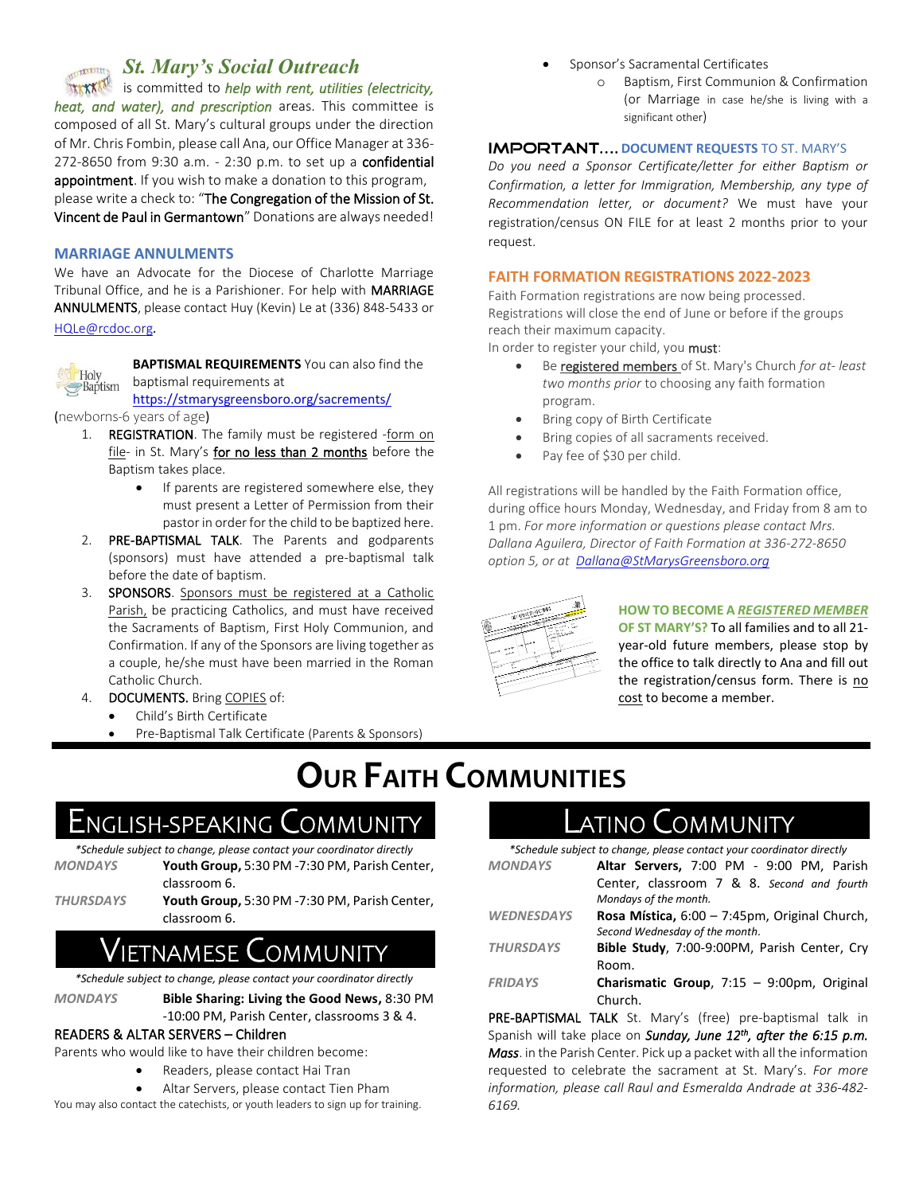# *St. Mary's Social Outreach*

*INCONTRIST 2003* is committed to *help with rent, utilities (electricity, heat, and water), and prescription* areas. This committee is composed of all St. Mary's cultural groups under the direction of Mr. Chris Fombin, please call Ana, our Office Manager at 336- 272-8650 from 9:30 a.m. - 2:30 p.m. to set up a confidential appointment. If you wish to make a donation to this program, please write a check to: "The Congregation of the Mission of St.

Vincent de Paul in Germantown" Donations are always needed!

## **MARRIAGE ANNULMENTS**

We have an Advocate for the Diocese of Charlotte Marriage Tribunal Office, and he is a Parishioner. For help with MARRIAGE ANNULMENTS, please contact Huy (Kevin) Le at (336) 848-5433 or HQLe@rcdoc.org*.*



**BAPTISMAL REQUIREMENTS** You can also find the baptismal requirements at

https://stmarysgreensboro.org/sacrements/

(newborns-6 years of age)

- 1. REGISTRATION. The family must be registered -form on file- in St. Mary's for no less than 2 months before the Baptism takes place.
	- If parents are registered somewhere else, they must present a Letter of Permission from their pastor in order for the child to be baptized here.
- 2. PRE-BAPTISMAL TALK. The Parents and godparents (sponsors) must have attended a pre-baptismal talk before the date of baptism.
- 3. SPONSORS. Sponsors must be registered at a Catholic Parish, be practicing Catholics, and must have received the Sacraments of Baptism, First Holy Communion, and Confirmation. If any of the Sponsors are living together as a couple, he/she must have been married in the Roman Catholic Church.
- 4. **DOCUMENTS.** Bring COPIES of:
	- Child's Birth Certificate
	- Pre-Baptismal Talk Certificate (Parents & Sponsors)
- Sponsor's Sacramental Certificates
	- o Baptism, First Communion & Confirmation (or Marriage in case he/she is living with a significant other)

### **IMPORTANT.... DOCUMENT REQUESTS TO ST. MARY'S**

*Do you need a Sponsor Certificate/letter for either Baptism or Confirmation, a letter for Immigration, Membership, any type of Recommendation letter, or document?* We must have your registration/census ON FILE for at least 2 months prior to your request.

## **FAITH FORMATION REGISTRATIONS 2022-2023**

Faith Formation registrations are now being processed. Registrations will close the end of June or before if the groups reach their maximum capacity.

In order to register your child, you must:

- Be registered members of St. Mary's Church *for at- least two months prior* to choosing any faith formation program.
- Bring copy of Birth Certificate
- Bring copies of all sacraments received.
- Pay fee of \$30 per child.

All registrations will be handled by the Faith Formation office, during office hours Monday, Wednesday, and Friday from 8 am to 1 pm. *For more information or questions please contact Mrs. Dallana Aguilera, Director of Faith Formation at 336-272-8650 option 5, or at Dallana@StMarysGreensboro.org*



## **HOW TO BECOME A** *REGISTERED MEMBER*

**OF ST MARY'S?** To all families and to all 21 year-old future members, please stop by the office to talk directly to Ana and fill out the registration/census form. There is no cost to become a member.

# **OUR FAITH COMMUNITIES**

# ENGLISH-SPEAKING COMMUNITY

*\*Schedule subject to change, please contact your coordinator directly*

*MONDAYS* **Youth Group,** 5:30 PM -7:30 PM, Parish Center, classroom 6.

*THURSDAYS* **Youth Group,** 5:30 PM -7:30 PM, Parish Center, classroom 6.

# NAMESE **C**OMMUNITY

*\*Schedule subject to change, please contact your coordinator directly*

*MONDAYS* **Bible Sharing: Living the Good News,** 8:30 PM -10:00 PM, Parish Center, classrooms 3 & 4.

### READERS & ALTAR SERVERS – Children

Parents who would like to have their children become:

- Readers, please contact Hai Tran
- Altar Servers, please contact Tien Pham

You may also contact the catechists, or youth leaders to sign up for training.

# atino **C**ommunity

*\*Schedule subject to change, please contact your coordinator directly*

- *MONDAYS* **Altar Servers,** 7:00 PM 9:00 PM, Parish Center, classroom 7 & 8. *Second and fourth Mondays of the month. WEDNESDAYS* **Rosa Mística,** 6:00 – 7:45pm, Original Church,
- *Second Wednesday of the month*.
- *THURSDAYS* **Bible Study**, 7:00-9:00PM, Parish Center, Cry Room.
- *FRIDAYS* **Charismatic Group**, 7:15 9:00pm, Original Church.

PRE-BAPTISMAL TALK St. Mary's (free) pre-baptismal talk in Spanish will take place on **Sunday, June 12<sup>th</sup>, after the 6:15 p.m.** *Mass*. in the Parish Center. Pick up a packet with all the information requested to celebrate the sacrament at St. Mary's. *For more information, please call Raul and Esmeralda Andrade at 336-482- 6169.*